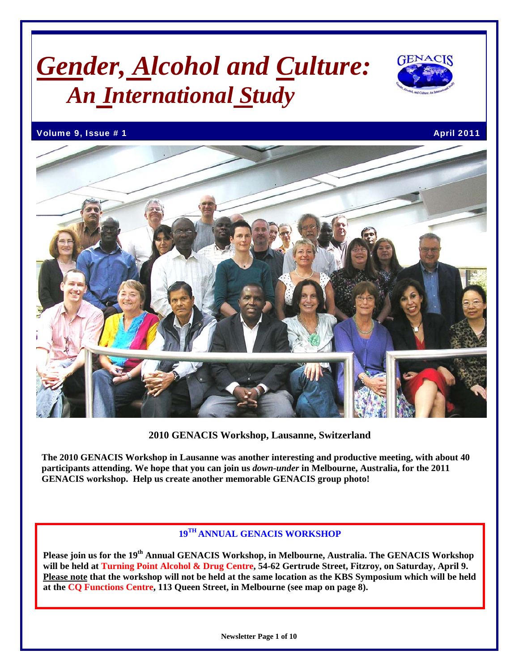# *Gender, Alcohol and Culture: An International Study*



Volume 9, Issue # 1 April 2011 **April 2011** 



#### **2010 GENACIS Workshop, Lausanne, Switzerland**

**The 2010 GENACIS Workshop in Lausanne was another interesting and productive meeting, with about 40 participants attending. We hope that you can join us** *down-under* **in Melbourne, Australia, for the 2011 GENACIS workshop. Help us create another memorable GENACIS group photo!** 

# **19TH ANNUAL GENACIS WORKSHOP**

**Please join us for the 19th Annual GENACIS Workshop, in Melbourne, Australia. The GENACIS Workshop will be held at Turning Point Alcohol & Drug Centre, 54-62 Gertrude Street, Fitzroy, on Saturday, April 9. Please note that the workshop will not be held at the same location as the KBS Symposium which will be held at the CQ Functions Centre, 113 Queen Street, in Melbourne (see map on page 8).**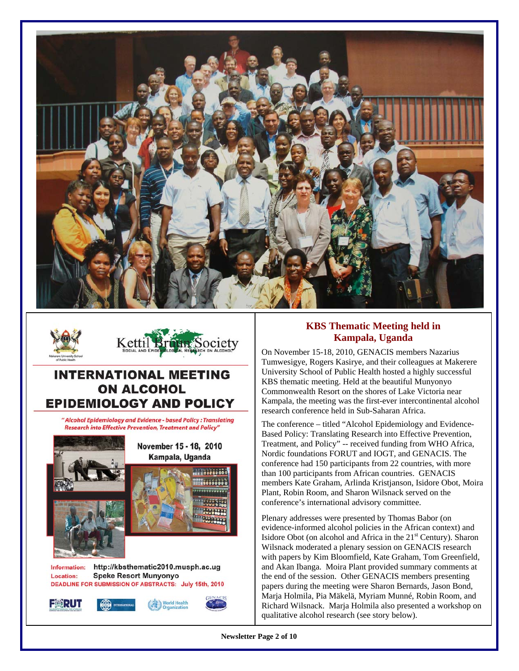



# **INTERNATIONAL MEETING ON ALCOHOL EPIDEMIOLOGY AND POLICY**

" Alcohol Epidemiology and Evidence - based Policy : Translating **Research into Effective Prevention, Treatment and Policy"** 



### **KBS Thematic Meeting held in Kampala, Uganda**

On November 15-18, 2010, GENACIS members Nazarius Tumwesigye, Rogers Kasirye, and their colleagues at Makerere University School of Public Health hosted a highly successful KBS thematic meeting. Held at the beautiful Munyonyo Commonwealth Resort on the shores of Lake Victoria near Kampala, the meeting was the first-ever intercontinental alcohol research conference held in Sub-Saharan Africa.

The conference – titled "Alcohol Epidemiology and Evidence-Based Policy: Translating Research into Effective Prevention, Treatment, and Policy" -- received funding from WHO Africa, Nordic foundations FORUT and IOGT, and GENACIS. The conference had 150 participants from 22 countries, with more than 100 participants from African countries. GENACIS members Kate Graham, Arlinda Kristjanson, Isidore Obot, Moira Plant, Robin Room, and Sharon Wilsnack served on the conference's international advisory committee.

Plenary addresses were presented by Thomas Babor (on evidence-informed alcohol policies in the African context) and Isidore Obot (on alcohol and Africa in the  $21<sup>st</sup>$  Century). Sharon Wilsnack moderated a plenary session on GENACIS research with papers by Kim Bloomfield, Kate Graham, Tom Greenfield, and Akan Ibanga. Moira Plant provided summary comments at the end of the session. Other GENACIS members presenting papers during the meeting were Sharon Bernards, Jason Bond, Marja Holmila, Pia Mäkelä, Myriam Munné, Robin Room, and Richard Wilsnack. Marja Holmila also presented a workshop on qualitative alcohol research (see story below).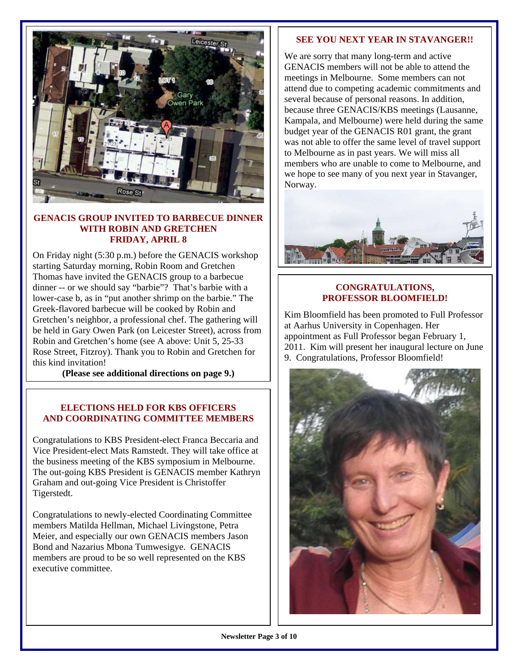

#### **GENACIS GROUP INVITED TO BARBECUE DINNER WITH ROBIN AND GRETCHEN FRIDAY, APRIL 8**

On Friday night (5:30 p.m.) before the GENACIS workshop starting Saturday morning, Robin Room and Gretchen Thomas have invited the GENACIS group to a barbecue dinner -- or we should say "barbie"? That's barbie with a lower-case b, as in "put another shrimp on the barbie." The Greek-flavored barbecue will be cooked by Robin and Gretchen's neighbor, a professional chef. The gathering will be held in Gary Owen Park (on Leicester Street), across from Robin and Gretchen's home (see A above: Unit 5, 25-33 Rose Street, Fitzroy). Thank you to Robin and Gretchen for this kind invitation!

**(Please see additional directions on page 9.)**

#### **ELECTIONS HELD FOR KBS OFFICERS AND COORDINATING COMMITTEE MEMBERS**

Congratulations to KBS President-elect Franca Beccaria and Vice President-elect Mats Ramstedt. They will take office at the business meeting of the KBS symposium in Melbourne. The out-going KBS President is GENACIS member Kathryn Graham and out-going Vice President is Christoffer Tigerstedt.

Congratulations to newly-elected Coordinating Committee members Matilda Hellman, Michael Livingstone, Petra Meier, and especially our own GENACIS members Jason Bond and Nazarius Mbona Tumwesigye. GENACIS members are proud to be so well represented on the KBS executive committee.

#### **SEE YOU NEXT YEAR IN STAVANGER!!**

We are sorry that many long-term and active GENACIS members will not be able to attend the meetings in Melbourne. Some members can not attend due to competing academic commitments and several because of personal reasons. In addition, because three GENACIS/KBS meetings (Lausanne, Kampala, and Melbourne) were held during the same budget year of the GENACIS R01 grant, the grant was not able to offer the same level of travel support to Melbourne as in past years. We will miss all members who are unable to come to Melbourne, and we hope to see many of you next year in Stavanger, Norway.



#### **CONGRATULATIONS, PROFESSOR BLOOMFIELD!**

Kim Bloomfield has been promoted to Full Professor at Aarhus University in Copenhagen. Her appointment as Full Professor began February 1, 2011. Kim will present her inaugural lecture on June 9. Congratulations, Professor Bloomfield!

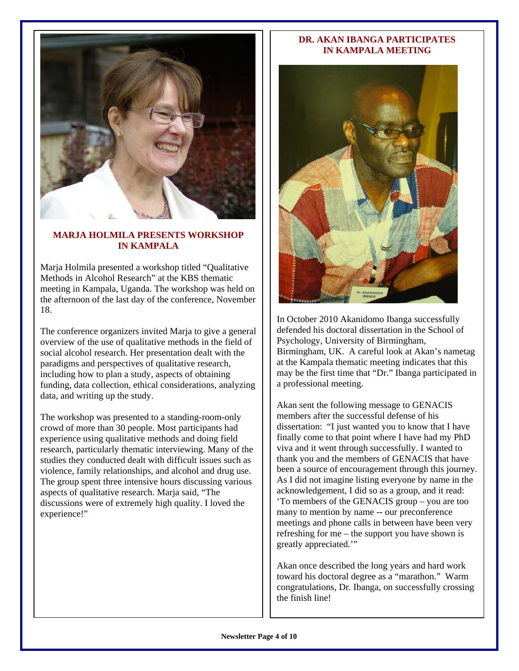

#### **MARJA HOLMILA PRESENTS WORKSHOP IN KAMPALA**

Marja Holmila presented a workshop titled "Qualitative Methods in Alcohol Research" at the KBS thematic meeting in Kampala, Uganda. The workshop was held on the afternoon of the last day of the conference, November 18.

The conference organizers invited Marja to give a general overview of the use of qualitative methods in the field of social alcohol research. Her presentation dealt with the paradigms and perspectives of qualitative research, including how to plan a study, aspects of obtaining funding, data collection, ethical considerations, analyzing data, and writing up the study.

The workshop was presented to a standing-room-only crowd of more than 30 people. Most participants had experience using qualitative methods and doing field research, particularly thematic interviewing. Many of the studies they conducted dealt with difficult issues such as violence, family relationships, and alcohol and drug use. The group spent three intensive hours discussing various aspects of qualitative research. Marja said, "The discussions were of extremely high quality. I loved the experience!"

#### **DR. AKAN IBANGA PARTICIPATES IN KAMPALA MEETING**



In October 2010 Akanidomo Ibanga successfully defended his doctoral dissertation in the School of Psychology, University of Birmingham, Birmingham, UK. A careful look at Akan's nametag at the Kampala thematic meeting indicates that this may be the first time that "Dr." Ibanga participated in a professional meeting.

Akan sent the following message to GENACIS members after the successful defense of his dissertation: "I just wanted you to know that I have finally come to that point where I have had my PhD viva and it went through successfully. I wanted to thank you and the members of GENACIS that have been a source of encouragement through this journey. As I did not imagine listing everyone by name in the acknowledgement, I did so as a group, and it read: 'To members of the GENACIS group – you are too many to mention by name -- our preconference meetings and phone calls in between have been very refreshing for me – the support you have shown is greatly appreciated.'"

Akan once described the long years and hard work toward his doctoral degree as a "marathon." Warm congratulations, Dr. Ibanga, on successfully crossing the finish line!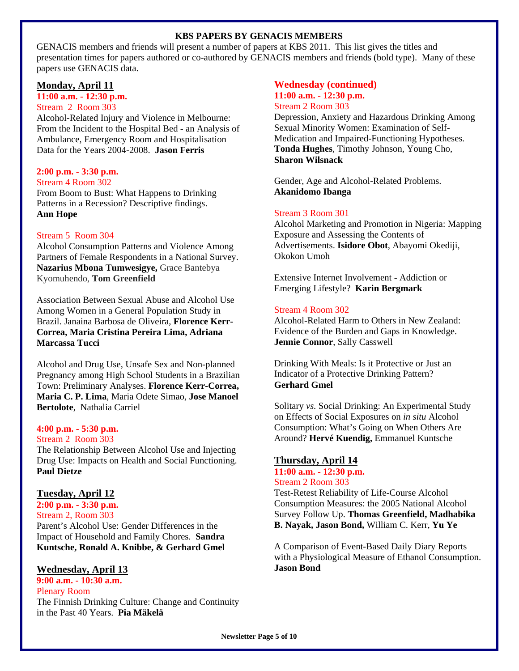#### **KBS PAPERS BY GENACIS MEMBERS**

GENACIS members and friends will present a number of papers at KBS 2011. This list gives the titles and presentation times for papers authored or co-authored by GENACIS members and friends (bold type). Many of these papers use GENACIS data.

#### **Monday, April 11**

# **11:00 a.m. - 12:30 p.m.**

Stream 2 Room 303

Alcohol-Related Injury and Violence in Melbourne: From the Incident to the Hospital Bed - an Analysis of Ambulance, Emergency Room and Hospitalisation Data for the Years 2004-2008. **Jason Ferris**

#### **2:00 p.m. - 3:30 p.m.**

Stream 4 Room 302

From Boom to Bust: What Happens to Drinking Patterns in a Recession? Descriptive findings. **Ann Hope**

#### Stream 5 Room 304

Alcohol Consumption Patterns and Violence Among Partners of Female Respondents in a National Survey. **Nazarius Mbona Tumwesigye,** Grace Bantebya Kyomuhendo, **Tom Greenfield**

Association Between Sexual Abuse and Alcohol Use Among Women in a General Population Study in Brazil. Janaina Barbosa de Oliveira, **Florence Kerr-Correa, Maria Cristina Pereira Lima, Adriana Marcassa Tucci**

Alcohol and Drug Use, Unsafe Sex and Non-planned Pregnancy among High School Students in a Brazilian Town: Preliminary Analyses. **Florence Kerr-Correa, Maria C. P. Lima**, Maria Odete Simao, **Jose Manoel Bertolote**, Nathalia Carriel

#### **4:00 p.m. - 5:30 p.m.**

#### Stream 2 Room 303

The Relationship Between Alcohol Use and Injecting Drug Use: Impacts on Health and Social Functioning. **Paul Dietze** 

#### **Tuesday, April 12**

**2:00 p.m. - 3:30 p.m.**  Stream 2, Room 303 Parent's Alcohol Use: Gender Differences in the Impact of Household and Family Chores. **Sandra Kuntsche, Ronald A. Knibbe, & Gerhard Gmel** 

#### **Wednesday, April 13**

**9:00 a.m. - 10:30 a.m.**  Plenary Room The Finnish Drinking Culture: Change and Continuity in the Past 40 Years. **Pia Mäkelä**

#### **Wednesday (continued) 11:00 a.m. - 12:30 p.m.**  Stream 2 Room 303

Depression, Anxiety and Hazardous Drinking Among Sexual Minority Women: Examination of Self-Medication and Impaired-Functioning Hypotheses*.*  **Tonda Hughes**, Timothy Johnson, Young Cho, **Sharon Wilsnack**

Gender, Age and Alcohol-Related Problems. **Akanidomo Ibanga** 

#### Stream 3 Room 301

Alcohol Marketing and Promotion in Nigeria: Mapping Exposure and Assessing the Contents of Advertisements. **Isidore Obot**, Abayomi Okediji, Okokon Umoh

Extensive Internet Involvement - Addiction or Emerging Lifestyle? **Karin Bergmark** 

#### Stream 4 Room 302

Alcohol-Related Harm to Others in New Zealand: Evidence of the Burden and Gaps in Knowledge. **Jennie Connor**, Sally Casswell

Drinking With Meals: Is it Protective or Just an Indicator of a Protective Drinking Pattern? **Gerhard Gmel** 

Solitary *vs.* Social Drinking: An Experimental Study on Effects of Social Exposures on *in situ* Alcohol Consumption: What's Going on When Others Are Around? **Hervé Kuendig,** Emmanuel Kuntsche

#### **Thursday, April 14**

**11:00 a.m. - 12:30 p.m.**  Stream 2 Room 303

Test-Retest Reliability of Life-Course Alcohol Consumption Measures: the 2005 National Alcohol Survey Follow Up. **Thomas Greenfield, Madhabika B. Nayak, Jason Bond,** William C. Kerr, **Yu Ye**

A Comparison of Event-Based Daily Diary Reports with a Physiological Measure of Ethanol Consumption. **Jason Bond**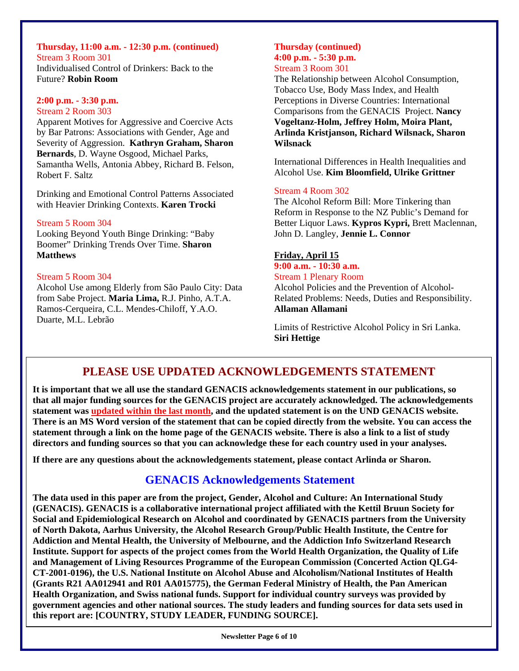# **Thursday, 11:00 a.m. - 12:30 p.m. (continued)**  Stream 3 Room 301

Individualised Control of Drinkers: Back to the Future? **Robin Room** 

#### **2:00 p.m. - 3:30 p.m.**

#### Stream 2 Room 303

Apparent Motives for Aggressive and Coercive Acts by Bar Patrons: Associations with Gender, Age and Severity of Aggression. **Kathryn Graham, Sharon Bernards**, D. Wayne Osgood, Michael Parks, Samantha Wells, Antonia Abbey, Richard B. Felson, Robert F. Saltz

Drinking and Emotional Control Patterns Associated with Heavier Drinking Contexts. **Karen Trocki** 

#### Stream 5 Room 304

Looking Beyond Youth Binge Drinking: "Baby Boomer" Drinking Trends Over Time. **Sharon Matthews** 

#### Stream 5 Room 304

Alcohol Use among Elderly from São Paulo City: Data from Sabe Project. **Maria Lima,** R.J. Pinho, A.T.A. Ramos-Cerqueira, C.L. Mendes-Chiloff, Y.A.O. Duarte, M.L. Lebrão

#### **Thursday (continued) 4:00 p.m. - 5:30 p.m.**  Stream 3 Room 301

The Relationship between Alcohol Consumption, Tobacco Use, Body Mass Index, and Health Perceptions in Diverse Countries: International Comparisons from the GENACIS Project. **Nancy Vogeltanz-Holm, Jeffrey Holm, Moira Plant, Arlinda Kristjanson, Richard Wilsnack, Sharon Wilsnack**

International Differences in Health Inequalities and Alcohol Use. **Kim Bloomfield, Ulrike Grittner** 

#### Stream 4 Room 302

The Alcohol Reform Bill: More Tinkering than Reform in Response to the NZ Public's Demand for Better Liquor Laws. **Kypros Kypri,** Brett Maclennan, John D. Langley, **Jennie L. Connor** 

# **Friday, April 15**

# **9:00 a.m. - 10:30 a.m.**

Stream 1 Plenary Room

Alcohol Policies and the Prevention of Alcohol-Related Problems: Needs, Duties and Responsibility. **Allaman Allamani** 

Limits of Restrictive Alcohol Policy in Sri Lanka. **Siri Hettige**

# **PLEASE USE UPDATED ACKNOWLEDGEMENTS STATEMENT**

**It is important that we all use the standard GENACIS acknowledgements statement in our publications, so that all major funding sources for the GENACIS project are accurately acknowledged. The acknowledgements statement was updated within the last month, and the updated statement is on the UND GENACIS website. There is an MS Word version of the statement that can be copied directly from the website. You can access the statement through a link on the home page of the GENACIS website. There is also a link to a list of study directors and funding sources so that you can acknowledge these for each country used in your analyses.** 

**If there are any questions about the acknowledgements statement, please contact Arlinda or Sharon.** 

# **GENACIS Acknowledgements Statement**

**The data used in this paper are from the project, Gender, Alcohol and Culture: An International Study (GENACIS). GENACIS is a collaborative international project affiliated with the Kettil Bruun Society for Social and Epidemiological Research on Alcohol and coordinated by GENACIS partners from the University of North Dakota, Aarhus University, the Alcohol Research Group/Public Health Institute, the Centre for Addiction and Mental Health, the University of Melbourne, and the Addiction Info Switzerland Research Institute. Support for aspects of the project comes from the World Health Organization, the Quality of Life and Management of Living Resources Programme of the European Commission (Concerted Action QLG4- CT-2001-0196), the U.S. National Institute on Alcohol Abuse and Alcoholism/National Institutes of Health (Grants R21 AA012941 and R01 AA015775), the German Federal Ministry of Health, the Pan American Health Organization, and Swiss national funds. Support for individual country surveys was provided by government agencies and other national sources. The study leaders and funding sources for data sets used in this report are: [COUNTRY, STUDY LEADER, FUNDING SOURCE].**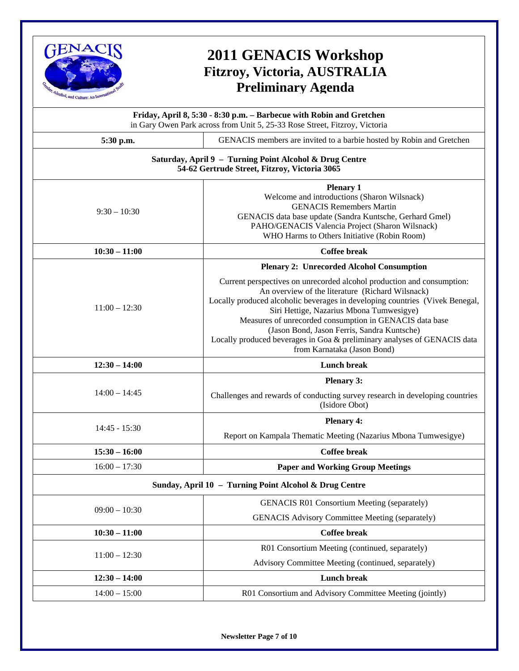

# **2011 GENACIS Workshop Fitzroy, Victoria, AUSTRALIA Preliminary Agenda**

|                 | Friday, April 8, 5:30 - 8:30 p.m. - Barbecue with Robin and Gretchen<br>in Gary Owen Park across from Unit 5, 25-33 Rose Street, Fitzroy, Victoria                                                                                                                                                                                                                                                                                                                          |
|-----------------|-----------------------------------------------------------------------------------------------------------------------------------------------------------------------------------------------------------------------------------------------------------------------------------------------------------------------------------------------------------------------------------------------------------------------------------------------------------------------------|
| 5:30 p.m.       | GENACIS members are invited to a barbie hosted by Robin and Gretchen                                                                                                                                                                                                                                                                                                                                                                                                        |
|                 | Saturday, April 9 - Turning Point Alcohol & Drug Centre<br>54-62 Gertrude Street, Fitzroy, Victoria 3065                                                                                                                                                                                                                                                                                                                                                                    |
| $9:30 - 10:30$  | <b>Plenary 1</b><br>Welcome and introductions (Sharon Wilsnack)<br><b>GENACIS Remembers Martin</b><br>GENACIS data base update (Sandra Kuntsche, Gerhard Gmel)<br>PAHO/GENACIS Valencia Project (Sharon Wilsnack)<br>WHO Harms to Others Initiative (Robin Room)                                                                                                                                                                                                            |
| $10:30 - 11:00$ | <b>Coffee break</b>                                                                                                                                                                                                                                                                                                                                                                                                                                                         |
|                 | <b>Plenary 2: Unrecorded Alcohol Consumption</b>                                                                                                                                                                                                                                                                                                                                                                                                                            |
| $11:00 - 12:30$ | Current perspectives on unrecorded alcohol production and consumption:<br>An overview of the literature (Richard Wilsnack)<br>Locally produced alcoholic beverages in developing countries (Vivek Benegal,<br>Siri Hettige, Nazarius Mbona Tumwesigye)<br>Measures of unrecorded consumption in GENACIS data base<br>(Jason Bond, Jason Ferris, Sandra Kuntsche)<br>Locally produced beverages in Goa & preliminary analyses of GENACIS data<br>from Karnataka (Jason Bond) |
| $12:30 - 14:00$ | <b>Lunch break</b>                                                                                                                                                                                                                                                                                                                                                                                                                                                          |
| $14:00 - 14:45$ | <b>Plenary 3:</b><br>Challenges and rewards of conducting survey research in developing countries                                                                                                                                                                                                                                                                                                                                                                           |
|                 | (Isidore Obot)                                                                                                                                                                                                                                                                                                                                                                                                                                                              |
| $14:45 - 15:30$ | <b>Plenary 4:</b>                                                                                                                                                                                                                                                                                                                                                                                                                                                           |
|                 | Report on Kampala Thematic Meeting (Nazarius Mbona Tumwesigye)                                                                                                                                                                                                                                                                                                                                                                                                              |
| $15:30 - 16:00$ | <b>Coffee break</b>                                                                                                                                                                                                                                                                                                                                                                                                                                                         |
| $16:00 - 17:30$ | <b>Paper and Working Group Meetings</b>                                                                                                                                                                                                                                                                                                                                                                                                                                     |
|                 | Sunday, April 10 - Turning Point Alcohol & Drug Centre                                                                                                                                                                                                                                                                                                                                                                                                                      |
| $09:00 - 10:30$ | <b>GENACIS R01 Consortium Meeting (separately)</b>                                                                                                                                                                                                                                                                                                                                                                                                                          |
|                 | <b>GENACIS Advisory Committee Meeting (separately)</b>                                                                                                                                                                                                                                                                                                                                                                                                                      |
| $10:30 - 11:00$ | <b>Coffee break</b>                                                                                                                                                                                                                                                                                                                                                                                                                                                         |
| $11:00 - 12:30$ | R01 Consortium Meeting (continued, separately)                                                                                                                                                                                                                                                                                                                                                                                                                              |
|                 | Advisory Committee Meeting (continued, separately)                                                                                                                                                                                                                                                                                                                                                                                                                          |
| $12:30 - 14:00$ | <b>Lunch break</b>                                                                                                                                                                                                                                                                                                                                                                                                                                                          |
| $14:00 - 15:00$ | R01 Consortium and Advisory Committee Meeting (jointly)                                                                                                                                                                                                                                                                                                                                                                                                                     |

**Newsletter Page 7 of 10**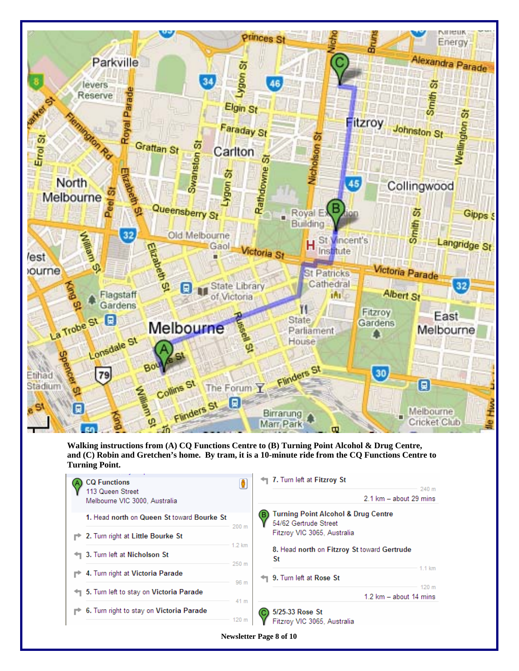

**Walking instructions from (A) CQ Functions Centre to (B) Turning Point Alcohol & Drug Centre, and (C) Robin and Gretchen's home. By tram, it is a 10-minute ride from the CQ Functions Centre to Turning Point.**

| ← 7. Turn left at Fitzroy St<br>240 m                                                 |
|---------------------------------------------------------------------------------------|
| 2.1 km - about 29 mins                                                                |
| <b>Turning Point Alcohol &amp; Drug Centre</b><br>в<br>54/62 Gertrude Street<br>200 m |
| Fitzroy VIC 3065, Australia                                                           |
| $1.2 \text{ km}$<br>8. Head north on Fitzroy St toward Gertrude<br>St<br>250 m        |
| $1.1 \text{ km}$<br>9. Turn left at Rose St<br>96 m                                   |
| 120 m<br>$1.2 \text{ km}$ – about 14 mins                                             |
| 41 m<br>5/25-33 Rose St<br>Fitzroy VIC 3065, Australia<br>120 <sub>m</sub>            |
|                                                                                       |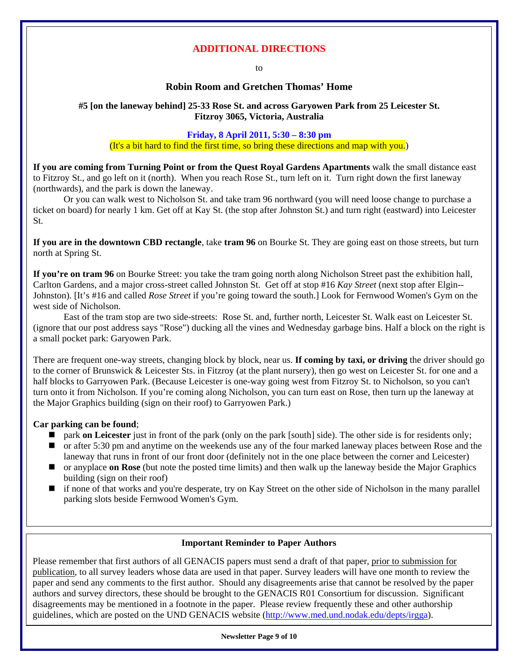#### **ADDITIONAL DIRECTIONS**

to

#### **Robin Room and Gretchen Thomas' Home**

#### **#5 [on the laneway behind] 25-33 Rose St. and across Garyowen Park from 25 Leicester St. Fitzroy 3065, Victoria, Australia**

#### **Friday, 8 April 2011, 5:30 – 8:30 pm**

#### (It's a bit hard to find the first time, so bring these directions and map with you.)

**If you are coming from Turning Point or from the Quest Royal Gardens Apartments** walk the small distance east to Fitzroy St., and go left on it (north). When you reach Rose St., turn left on it. Turn right down the first laneway (northwards), and the park is down the laneway.

Or you can walk west to Nicholson St. and take tram 96 northward (you will need loose change to purchase a ticket on board) for nearly 1 km. Get off at Kay St. (the stop after Johnston St.) and turn right (eastward) into Leicester St.

**If you are in the downtown CBD rectangle**, take **tram 96** on Bourke St. They are going east on those streets, but turn north at Spring St.

**If you're on tram 96** on Bourke Street: you take the tram going north along Nicholson Street past the exhibition hall, Carlton Gardens, and a major cross-street called Johnston St. Get off at stop #16 *Kay Street* (next stop after Elgin-- Johnston). [It's #16 and called *Rose Street* if you're going toward the south.] Look for Fernwood Women's Gym on the west side of Nicholson.

East of the tram stop are two side-streets: Rose St. and, further north, Leicester St. Walk east on Leicester St. (ignore that our post address says "Rose") ducking all the vines and Wednesday garbage bins. Half a block on the right is a small pocket park: Garyowen Park.

There are frequent one-way streets, changing block by block, near us. **If coming by taxi, or driving** the driver should go to the corner of Brunswick & Leicester Sts. in Fitzroy (at the plant nursery), then go west on Leicester St. for one and a half blocks to Garryowen Park. (Because Leicester is one-way going west from Fitzroy St. to Nicholson, so you can't turn onto it from Nicholson. If you're coming along Nicholson, you can turn east on Rose, then turn up the laneway at the Major Graphics building (sign on their roof) to Garryowen Park.)

#### **Car parking can be found**;

- park **on Leicester** just in front of the park (only on the park [south] side). The other side is for residents only;
- or after 5:30 pm and anytime on the weekends use any of the four marked laneway places between Rose and the laneway that runs in front of our front door (definitely not in the one place between the corner and Leicester)
- or anyplace **on Rose** (but note the posted time limits) and then walk up the laneway beside the Major Graphics building (sign on their roof)
- if none of that works and you're desperate, try on Kay Street on the other side of Nicholson in the many parallel parking slots beside Fernwood Women's Gym.

#### **Important Reminder to Paper Authors**

Please remember that first authors of all GENACIS papers must send a draft of that paper, prior to submission for publication, to all survey leaders whose data are used in that paper. Survey leaders will have one month to review the paper and send any comments to the first author. Should any disagreements arise that cannot be resolved by the paper authors and survey directors, these should be brought to the GENACIS R01 Consortium for discussion. Significant disagreements may be mentioned in a footnote in the paper. Please review frequently these and other authorship guidelines, which are posted on the UND GENACIS website ([http://www.med.und.nodak.edu/depts/irgga\)](http://www.med.und.nodak.edu/depts/irgga).

#### **Newsletter Page 9 of 10**